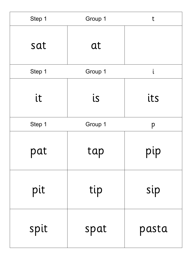| Step 1   | Group 1  | t             |
|----------|----------|---------------|
| sat      | at       |               |
| Step 1   | Group 1  | i             |
| it       | is       | its           |
| Step 1   | Group 1  | p             |
| pat<br>ш | tap<br>ш | pip<br>ш<br>ш |
| pit      | tip      | sip           |
| spit     | spat     | pasta         |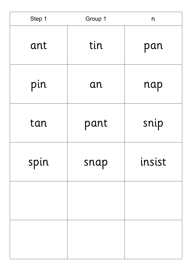| Step 1 | Group 1 | $\mathsf{n}$ |
|--------|---------|--------------|
| ant    | tin     | pan          |
| pin    | an      | nap          |
| tan    | pant    | snip         |
| spin   | snap    | insist       |
|        |         |              |
|        |         |              |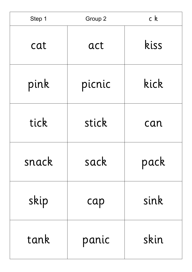| Step 1 | Group 2 | c <sub>k</sub> |
|--------|---------|----------------|
| cat    | act     | kiss           |
| pink   | picnic  | kick           |
| tick   | stick   | can            |
| snack  | sack    | pack           |
| skip   | cap     | sink           |
| tank   | panic   | skin           |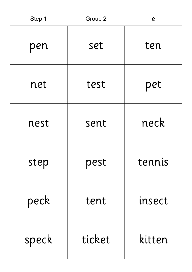| Step 1 | Group 2 | $\boldsymbol{e}$ |
|--------|---------|------------------|
| pen    | set     | ten              |
| net    | test    | pet              |
| nest   | sent    | neck             |
| step   | pest    | tennis           |
| peck   | tent    | insect           |
| speck  | ticket  | kitten           |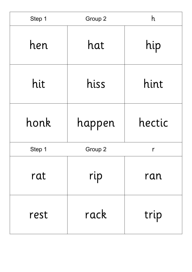| Step 1 | Group 2 | h      |
|--------|---------|--------|
| hen    | hat     | hip    |
| hit    | hiss    | hint   |
| honk   | happen  | hectic |
| Step 1 | Group 2 | r      |
| rat    | rip     | ran    |
| rest   | rack    | trip   |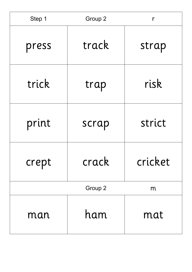| Step 1 | Group 2 | r       |
|--------|---------|---------|
| press  | track   | strap   |
| trick  | trap    | risk    |
| print  | scrap   | strict  |
| crept  | crack   | cricket |
|        | Group 2 | m       |
| man    | ham     | mat     |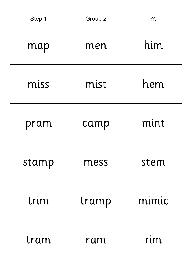| Step 1 | Group 2 | m     |
|--------|---------|-------|
| map    | men     | him   |
| miss   | mist    | hem   |
| pram   | camp    | mint  |
| stamp  | mess    | stem  |
| trim   | tramp   | mimic |
| tram   | ram     | rim   |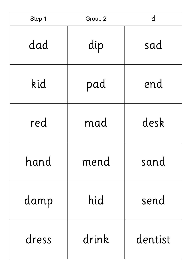| Step 1 | Group 2 | d       |
|--------|---------|---------|
| dad    | dip     | sad     |
| kid    | pad     | end     |
| red    | mad     | desk    |
| hand   | mend    | sand    |
| damp   | hid     | send    |
| dress  | drink   | dentist |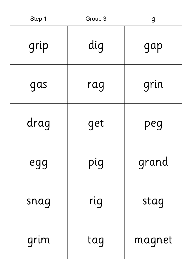| Step 1 | Group 3 | g      |
|--------|---------|--------|
| grip   | dig     | gap    |
| gas    | rag     | grin   |
| drag   | get     | peg    |
| egg    | pig     | grand  |
| snag   | rig     | stag   |
| grim   | tag     | magnet |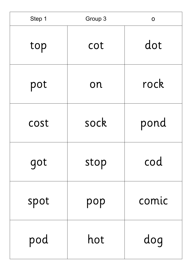| Step 1 | Group 3 | O     |
|--------|---------|-------|
| top    | cot     | dot   |
| pot    | on      | rock  |
| cost   | sock    | pond  |
| got    | stop    | cod   |
| spot   | pop     | comic |
| pod    | hot     | dog   |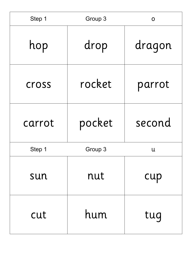| Step 1 | Group 3 | O            |
|--------|---------|--------------|
| hop    | drop    | dragon       |
| cross  | rocket  | parrot       |
| carrot | pocket  | second       |
| Step 1 | Group 3 | $\mathsf{u}$ |
| sun    | nut     | cup          |
| cut    | hum     | tug          |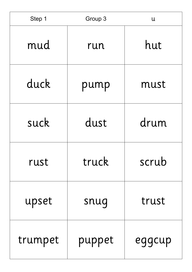| Step 1  | Group 3 | $\mathsf{u}$ |
|---------|---------|--------------|
| mud     | run     | hut          |
| duck    | pump    | must         |
| suck    | dust    | drum         |
| rust    | truck   | scrub        |
| upset   | snug    | trust        |
| trumpet | puppet  | eggcup       |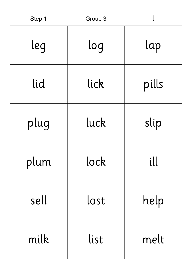| Step 1 | Group 3 |       |
|--------|---------|-------|
| leg    | log     | lap   |
| lid    | lick    | pills |
| plug   | luck    | slip  |
| plum   | lock    | ill   |
| sell   | lost    | help  |
| milk   | list    | melt  |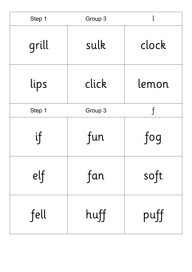| Step 1 | Group 3 |              |
|--------|---------|--------------|
| grill  | sulk    | clock        |
| lips   | click   | lemon        |
| Step 1 | Group 3 | $\mathsf{f}$ |
| if     | fun     | fog          |
| e      | fan     | soft         |
| fell   | huff    | puff         |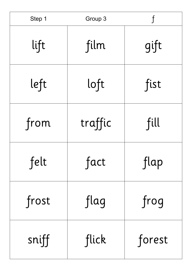| Step 1 | Group 3 | $\mathsf{f}$ |
|--------|---------|--------------|
| lift   | film    | gift         |
| left   | loft    | fist         |
| from   | traffic | fill         |
| felt   | fact    | flap         |
| frost  | flag    | frog         |
| sniff  | flick   | forest       |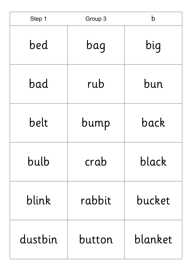| Step 1  | Group 3 | b       |
|---------|---------|---------|
| bed     | bag     | big     |
| bad     | rub     | bun     |
| belt    | bump    | back    |
| bulb    | crab    | black   |
| blink   | rabbit  | bucket  |
| dustbin | button  | blanket |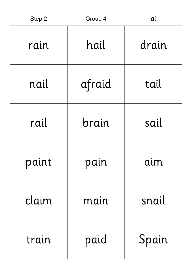| Step 2 | Group 4 | ai    |
|--------|---------|-------|
| rain   | hail    | drain |
| nail   | afraid  | tail  |
| rail   | brain   | sail  |
| paint  | pain    | aim   |
| claim  | main    | snail |
| train  | paid    | Spain |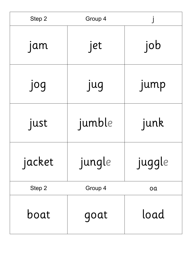| Step 2 | Group 4 |        |
|--------|---------|--------|
| jam    | jet     | job    |
| jog    | jug     | jump   |
| just   | jumble  | junk   |
| jacket | jungle  | juggle |
| Step 2 | Group 4 | oa     |
| boat   | goat    | load   |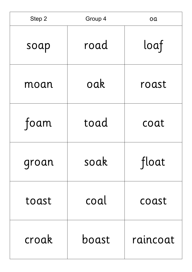| Step 2 | Group 4 | oa       |
|--------|---------|----------|
| soap   | road    | loaf     |
| moan   | oak     | roast    |
| foam   | toad    | coat     |
| groan  | soak    | float    |
| toast  | coal    | coast    |
| croak  | boast   | raincoat |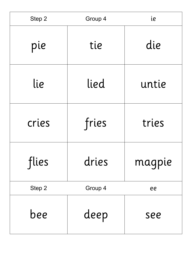| Step 2 | Group 4 | ie     |
|--------|---------|--------|
| pie    | tie     | die    |
| lie    | lied    | untie  |
| cries  | fries   | tries  |
| flies  | dries   | magpie |
| Step 2 | Group 4 | ee     |
| bee    | deep    | see    |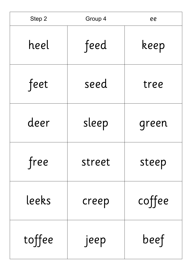| Step 2 | Group 4 | ee     |
|--------|---------|--------|
| heel   | feed    | keep   |
| feet   | seed    | tree   |
| deer   | sleep   | green  |
| free   | street  | steep  |
| leeks  | creep   | coffee |
| toffee | jeep    | beef   |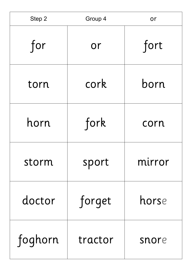| Step 2  | Group 4 | or     |
|---------|---------|--------|
| for     | or      | fort   |
| torn    | cork    | born   |
| horn    | fork    | corn   |
| storm   | sport   | mirror |
| doctor  | forget  | horse  |
| foghorn | tractor | snore  |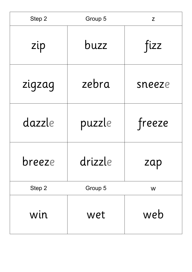| Step 2 | Group 5 | Z      |
|--------|---------|--------|
| zip    | buzz    | fizz   |
| zigzag | zebra   | sneeze |
| dazzle | puzzle  | freeze |
| breeze | drizzle | zap    |
| Step 2 | Group 5 | W      |
| win    | wet     | web    |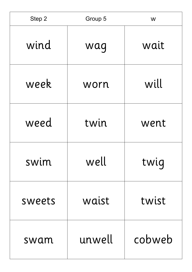| Step 2 | Group 5 | W      |
|--------|---------|--------|
| wind   | wag     | wait   |
| week   | worn    | will   |
| weed   | twin    | went   |
| swim   | well    | twig   |
| sweets | waist   | twist  |
| swam   | unwell  | cobweb |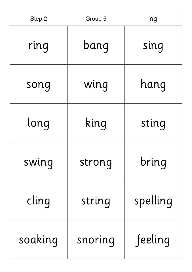| Step 2  | Group 5 | ng       |
|---------|---------|----------|
| ring    | bang    | sing     |
| song    | wing    | hang     |
| long    | king    | sting    |
| swing   | strong  | bring    |
| cling   | string  | spelling |
| soaking | snoring | feeling  |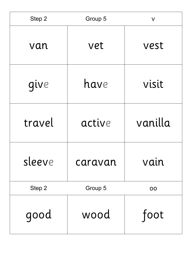| Step 2 | Group 5 | $\mathsf{V}$ |
|--------|---------|--------------|
| van    | vet     | vest         |
| give   | have    | visit        |
| travel | active  | vanilla      |
| sleeve | caravan | vain         |
| Step 2 | Group 5 | OO           |
| good   | wood    | foot         |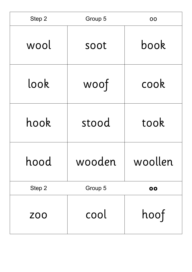| Step 2     | Group 5 | 00      |
|------------|---------|---------|
| wool       | soot    | book    |
| look       | woof    | cook    |
| hook       | stood   | took    |
| hood       | wooden  | woollen |
| Step 2     | Group 5 | 00      |
| <b>ZOO</b> | cool    | hoof    |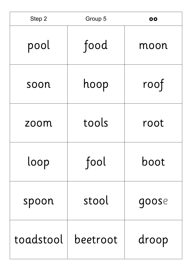| Step 2    | Group 5  | 00    |
|-----------|----------|-------|
| pool      | food     | moon  |
| soon      | hoop     | roof  |
| zoom      | tools    | root  |
| loop      | fool     | boot  |
| spoon     | stool    | goose |
| toadstool | beetroot | droop |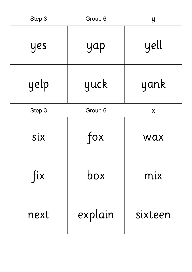| Step 3 | Group 6 | y       |
|--------|---------|---------|
| yes    | yap     | yell    |
| yelp   | yuck    | yank    |
| Step 3 | Group 6 | X       |
| six    | fox     | wax     |
| fix    | box     | mix     |
| next   | explain | sixteen |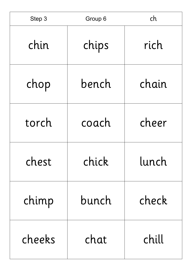| Step 3 | Group 6 | ch    |
|--------|---------|-------|
| chin   | chips   | rich  |
| chop   | bench   | chain |
| torch  | coach   | cheer |
| chest  | chick   | lunch |
| chimp  | bunch   | check |
| cheeks | chat    | chill |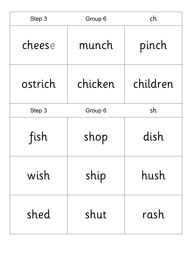| Step 3  | Group 6 | ch       |
|---------|---------|----------|
| cheese  | munch   | pinch    |
| ostrich | chicken | children |
| Step 3  | Group 6 | sh       |
| fish    | shop    | dish     |
| wish    | ship    | hush     |
| shed    | shut    | rash     |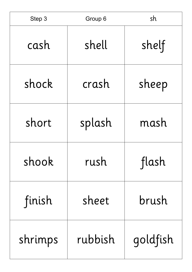| Step 3  | Group 6 | sh       |
|---------|---------|----------|
| cash    | shell   | shelf    |
| shock   | crash   | sheep    |
| short   | splash  | mash     |
| shook   | rush    | flash    |
| finish  | sheet   | brush    |
| shrimps | rubbish | goldfish |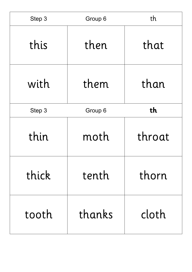| Step 3 | Group 6 | th     |
|--------|---------|--------|
| this   | then    | that   |
| with   | them    | than   |
| Step 3 | Group 6 | th     |
| thin   | moth    | throat |
| thick  | tenth   | thorn  |
| tooth  | thanks  | cloth  |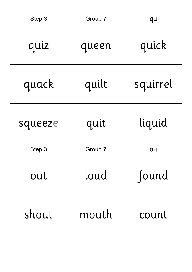| Step 3  | Group 7 | qu       |
|---------|---------|----------|
| quiz    | queen   | quick    |
| quack   | quilt   | squirrel |
| squeeze | quit    | liquid   |
| Step 3  | Group 7 | ou       |
| out     | loud    | found    |
| shout   | mouth   | count    |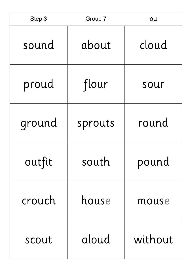| Step 3 | Group 7 | ou      |
|--------|---------|---------|
| sound  | about   | cloud   |
| proud  | flour   | sour    |
| ground | sprouts | round   |
| outfit | south   | pound   |
| crouch | house   | mouse   |
| scout  | aloud   | without |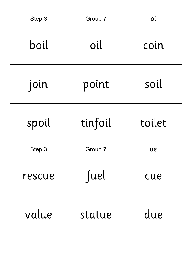| Step 3 | Group 7 | Οi     |
|--------|---------|--------|
| boil   | oil     | coin   |
| join   | point   | soil   |
| spoil  | tinfoil | toilet |
| Step 3 | Group 7 | ue     |
| rescue | fuel    | cue    |
| value  | statue  | due    |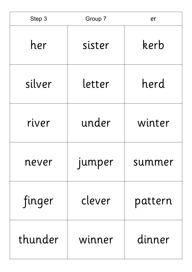| Step 3  | Group 7       | er      |
|---------|---------------|---------|
| her     | sister        | kerb    |
| silver  | letter        | herd    |
| river   | under         | winter  |
| never   | <b>Jumper</b> | summer  |
| finger  | clever        | pattern |
| thunder | winner        | dinner  |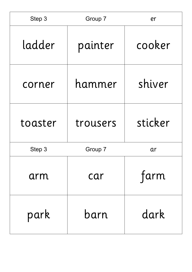| Step 3  | Group 7  | er      |
|---------|----------|---------|
| ladder  | painter  | cooker  |
| corner  | hammer   | shiver  |
| toaster | trousers | sticker |
| Step 3  | Group 7  | ar      |
| arm     | car      | farm    |
| park    | barn     | dark    |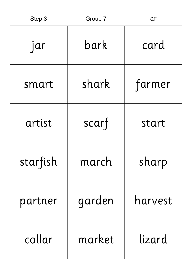| Step 3   | Group 7 | ar      |
|----------|---------|---------|
| jar      | bark    | card    |
| smart    | shark   | farmer  |
| artist   | scarf   | start   |
| starfish | march   | sharp   |
| partner  | garden  | harvest |
| collar   | market  | lizard  |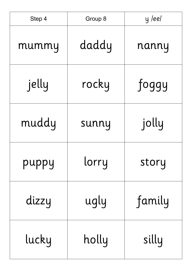| Step 4 | Group 8 | y /ee/ |
|--------|---------|--------|
| mummy  | daddy   | nanny  |
| jelly  | rocky   | foggy  |
| muddy  | sunny   | jolly  |
| puppy  | lorry   | story  |
| dizzy  | ugly    | family |
| lucky  | holly   | silly  |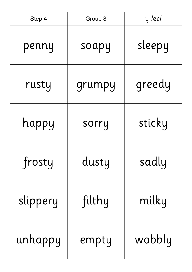| Step 4   | Group 8 | y leel |
|----------|---------|--------|
| penny    | soapy   | sleepy |
| rusty    | grumpy  | greedy |
| happy    | sorry   | sticky |
| frosty   | dusty   | sadly  |
| slippery | filthy  | milky  |
| unhappy  | empty   | wobbly |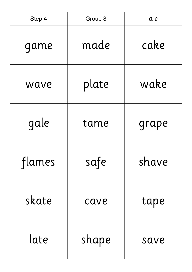| Step 4 | Group 8 | $a-e$ |
|--------|---------|-------|
| game   | made    | cake  |
| wave   | plate   | wake  |
| gale   | tame    | grape |
| flames | safe    | shave |
| skate  | cave    | tape  |
| late   | shape   | save  |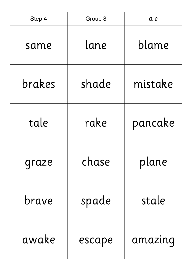| Step 4 | Group 8 | $a-e$   |
|--------|---------|---------|
| same   | lane    | blame   |
| brakes | shade   | mistake |
| tale   | rake    | pancake |
| graze  | chase   | plane   |
| brave  | spade   | stale   |
| awake  | escape  | amazing |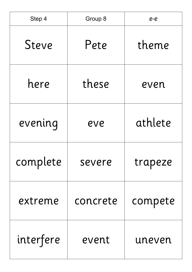| Step 4    | Group 8  | $e-e$   |
|-----------|----------|---------|
| Steve     | Pete     | theme   |
| here      | these    | even    |
| evening   | eve      | athlete |
| complete  | severe   | trapeze |
| extreme   | concrete | compete |
| interfere | event    | uneven  |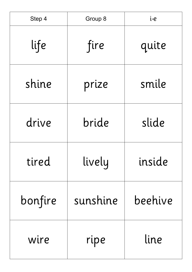| Step 4  | Group 8  | $i-e$   |
|---------|----------|---------|
| life    | fire     | quite   |
| shine   | prize    | smile   |
| drive   | bride    | slide   |
| tired   | lively   | inside  |
| bonfire | sunshine | beehive |
| wire    | ripe     | line    |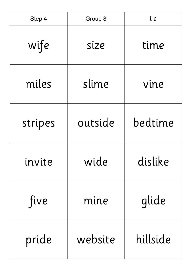| Step 4  | Group 8 | i-e      |
|---------|---------|----------|
| wife    | size    | time     |
| miles   | slime   | vine     |
| stripes | outside | bedtime  |
| invite  | wide    | dislike  |
| five    | mine    | glide    |
| pride   | website | hillside |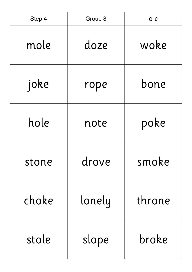| Step 4 | Group 8 | $O - C$ |
|--------|---------|---------|
| mole   | doze    | woke    |
| joke   | rope    | bone    |
| hole   | note    | poke    |
| stone  | drove   | smoke   |
| choke  | lonely  | throne  |
| stole  | slope   | broke   |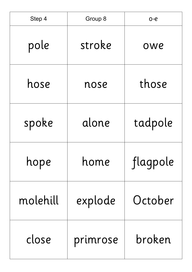| Step 4   | Group 8  | $O - C$  |
|----------|----------|----------|
| pole     | stroke   | owe      |
| hose     | nose     | those    |
| spoke    | alone    | tadpole  |
| hope     | home     | flagpole |
| molehill | explode  | October  |
| close    | primrose | broken   |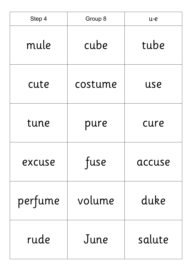| Step 4  | Group 8 | u-e    |
|---------|---------|--------|
| mule    | cube    | tube   |
| cute    | costume | use    |
| tune    | pure    | cure   |
| excuse  | fuse    | accuse |
| perfume | volume  | duke   |
| rude    | June    | salute |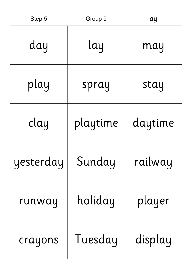| Step 5    | Group 9  | ay      |
|-----------|----------|---------|
| day       | lay      | may     |
| play      | spray    | stay    |
| clay      | playtime | daytime |
| yesterday | Sunday   | railway |
| runway    | holiday  | player  |
| crayons   | Tuesday  | display |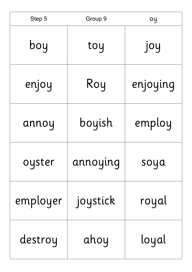| Step 5   | Group 9  | oy       |
|----------|----------|----------|
| boy      | toy      | Joy      |
| enjoy    | Roy      | enjoying |
| annoy    | boyish   | employ   |
| oyster   | annoying | soya     |
| employer | joystick | royal    |
| destroy  | ahoy     | loyal    |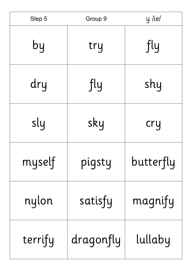| Step 5  | Group 9   | y /ie/    |
|---------|-----------|-----------|
| by      | try       | fly       |
| dry     | fly       | shy       |
| sly     | sky       | cry       |
| myself  | pigsty    | butterfly |
| nylon   | satisfy   | magnify   |
| terrify | dragonfly | lullaby   |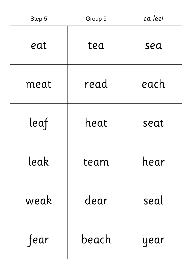| Step 5 | Group 9 | ea leel |
|--------|---------|---------|
| eat    | tea     | sea     |
| meat   | read    | each    |
| leaf   | heat    | seat    |
| leak   | team    | hear    |
| weak   | dear    | seal    |
| fear   | beach   | year    |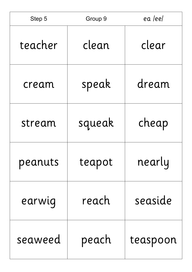| Step 5  | Group 9 | ea /ee/  |
|---------|---------|----------|
| teacher | clean   | clear    |
| cream   | speak   | dream    |
| stream  | squeak  | cheap    |
| peanuts | teapot  | nearly   |
| earwig  | reach   | seaside  |
| seaweed | peach   | teaspoon |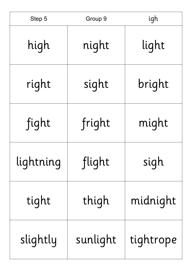| Step 5    | Group 9  | igh       |
|-----------|----------|-----------|
| high      | night    | light     |
| right     | sight    | bright    |
| fight     | fright   | might     |
| lightning | flight   | sigh      |
| tight     | thigh    | midnight  |
| slightly  | sunlight | tightrope |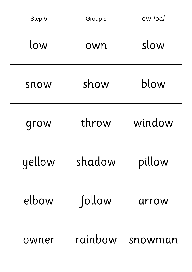| Step 5 | Group 9 | ow /oa/ |
|--------|---------|---------|
| low    | own     | slow    |
| snow   | show    | blow    |
| grow   | throw   | window  |
| yellow | shadow  | pillow  |
| elbow  | follow  | arrow   |
| owner  | rainbow | snowman |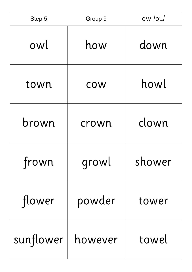| Step 5    | Group 9 | ow /ou/ |
|-----------|---------|---------|
| owl       | how     | down    |
| town      | COW     | howl    |
| brown     | crown   | clown   |
| frown     | growl   | shower  |
| flower    | powder  | tower   |
| sunflower | however | towel   |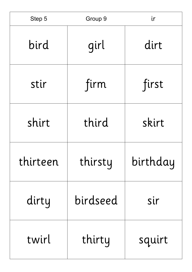| Step 5   | Group 9  | ir       |
|----------|----------|----------|
| bird     | girl     | dirt     |
| stir     | firm     | first    |
| shirt    | third    | skirt    |
| thirteen | thirsty  | birthday |
| dirty    | birdseed | sir      |
| twirl    | thirty   | squirt   |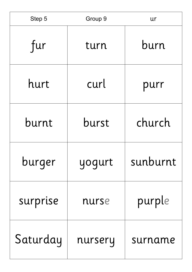| Step 5   | Group 9 | ur       |
|----------|---------|----------|
| fur      | turn    | burn     |
| hurt     | curl    | purr     |
| burnt    | burst   | church   |
| burger   | yogurt  | sunburnt |
| surprise | nurse   | purple   |
| Saturday | nursery | surname  |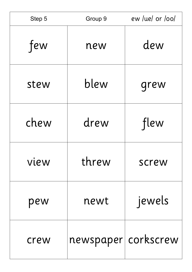| Step 5 | Group 9              | ew /ue/ or /oo/ |
|--------|----------------------|-----------------|
| few    | new                  | dew             |
| stew   | blew                 | grew            |
| chew   | drew                 | flew            |
| vlew   | threw                | screw           |
| pew    | newt                 | jewels          |
| crew   | newspaper  corkscrew |                 |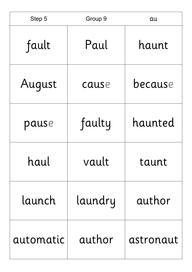| Step 5    | Group 9 | au        |
|-----------|---------|-----------|
| fault     | Paul    | haunt     |
| August    | cause   | because   |
| pause     | faulty  | haunted   |
| haul      | vault   | taunt     |
| launch    | laundry | author    |
| automatic | author  | astronaut |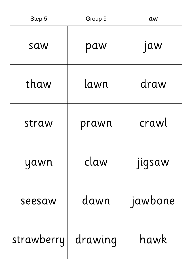| Step 5     | Group 9 | aw         |
|------------|---------|------------|
| saw        | paw     | <b>Jaw</b> |
| thaw       | lawn    | draw       |
| straw      | prawn   | crawl      |
| yawn       | claw    | jigsaw     |
| seesaw     | dawn    | jawbone    |
| strawberry | drawing | hawk       |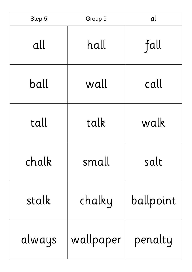| Step 5 | Group 9   | al        |
|--------|-----------|-----------|
| all    | hall      | fall      |
| ball   | wall      | call      |
| tall   | talk      | walk      |
| chalk  | small     | salt      |
| stalk  | chalky    | ballpoint |
| always | wallpaper | penalty   |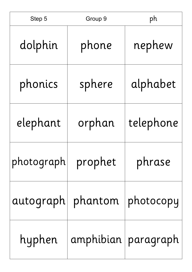| Step 5             | Group 9                         | ph        |
|--------------------|---------------------------------|-----------|
| dolphin            | phone                           | nephew    |
| phonics            | sphere                          | alphabet  |
| elephant           | orphan                          | telephone |
| photograph prophet |                                 | phrase    |
|                    | autograph   phantom   photocopy |           |
|                    | hyphen   amphibian   paragraph  |           |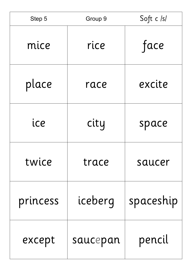| Step 5   | Group 9  | Soft c /s/ |
|----------|----------|------------|
| mice     | rice     | face       |
| place    | race     | excite     |
| ice      | city     | space      |
| twice    | trace    | saucer     |
| princess | iceberg  | spaceship  |
| except   | saucepan | pencil     |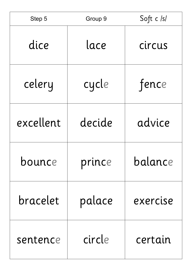| Step 5    | Group 9 | Soft c /s/ |
|-----------|---------|------------|
| dice      | lace    | circus     |
| celery    | cycle   | fence      |
| excellent | decide  | advice     |
| bounce    | prince  | balance    |
| bracelet  | palace  | exercise   |
| sentence  | circle  | certain    |